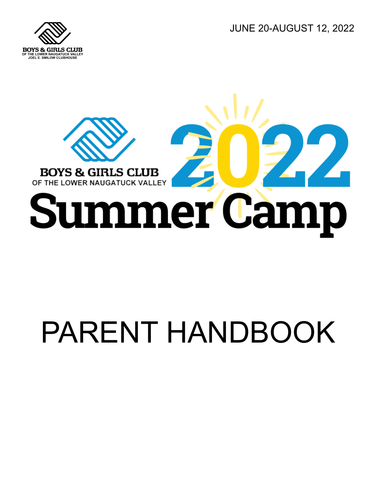JUNE 20-AUGUST 12, 2022





# PARENT HANDBOOK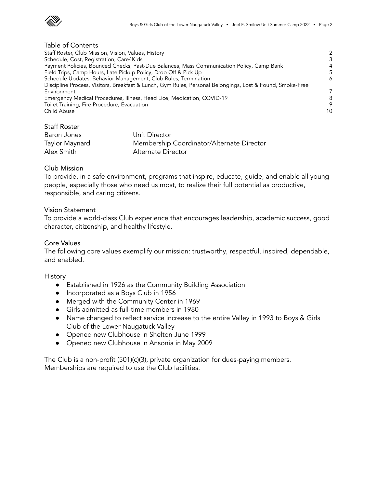

## Table of Contents

| Staff Roster, Club Mission, Vision, Values, History                                                       | $\mathcal{P}$ |
|-----------------------------------------------------------------------------------------------------------|---------------|
| Schedule, Cost, Registration, Care4Kids                                                                   | 3             |
| Payment Policies, Bounced Checks, Past-Due Balances, Mass Communication Policy, Camp Bank                 | 4             |
| Field Trips, Camp Hours, Late Pickup Policy, Drop Off & Pick Up                                           | 5             |
| Schedule Updates, Behavior Management, Club Rules, Termination                                            | 6             |
| Discipline Process, Visitors, Breakfast & Lunch, Gym Rules, Personal Belongings, Lost & Found, Smoke-Free |               |
| Environment                                                                                               | 7             |
| Emergency Medical Procedures, Illness, Head Lice, Medication, COVID-19                                    | 8             |
| Toilet Training, Fire Procedure, Evacuation                                                               | 9             |
| Child Abuse                                                                                               | 10            |

# Staff Roster

| Baron Jones    | Unit Director                             |
|----------------|-------------------------------------------|
| Taylor Maynard | Membership Coordinator/Alternate Director |
| Alex Smith     | Alternate Director                        |

# Club Mission

To provide, in a safe environment, programs that inspire, educate, guide, and enable all young people, especially those who need us most, to realize their full potential as productive, responsible, and caring citizens.

# Vision Statement

To provide a world-class Club experience that encourages leadership, academic success, good character, citizenship, and healthy lifestyle.

# Core Values

The following core values exemplify our mission: trustworthy, respectful, inspired, dependable, and enabled.

#### History

- Established in 1926 as the Community Building Association
- Incorporated as a Boys Club in 1956
- Merged with the Community Center in 1969
- Girls admitted as full-time members in 1980
- Name changed to reflect service increase to the entire Valley in 1993 to Boys & Girls Club of the Lower Naugatuck Valley
- Opened new Clubhouse in Shelton June 1999
- Opened new Clubhouse in Ansonia in May 2009

The Club is a non-profit (501)(c)(3), private organization for dues-paying members. Memberships are required to use the Club facilities.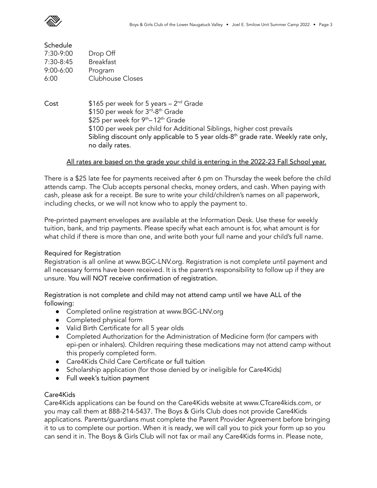

| Schedule      |                         |
|---------------|-------------------------|
| 7:30-9:00     | Drop Off                |
| 7:30-8:45     | <b>Breakfast</b>        |
| $9:00 - 6:00$ | Program                 |
| 6:00          | <b>Clubhouse Closes</b> |
|               |                         |

Cost \$165 per week for 5 years – 2<sup>nd</sup> Grade \$150 per week for 3<sup>rd</sup>-8<sup>th</sup> Grade \$25 per week for 9<sup>th</sup>–12<sup>th</sup> Grade \$100 per week per child for Additional Siblings, higher cost prevails Sibling discount only applicable to 5 year olds-8<sup>th</sup> grade rate. Weekly rate only, no daily rates.

# All rates are based on the grade your child is entering in the 2022-23 Fall School year.

There is a \$25 late fee for payments received after 6 pm on Thursday the week before the child attends camp. The Club accepts personal checks, money orders, and cash. When paying with cash, please ask for a receipt. Be sure to write your child/children's names on all paperwork, including checks, or we will not know who to apply the payment to.

Pre-printed payment envelopes are available at the Information Desk. Use these for weekly tuition, bank, and trip payments. Please specify what each amount is for, what amount is for what child if there is more than one, and write both your full name and your child's full name.

# Required for Registration

Registration is all online at www.BGC-LNV.org. Registration is not complete until payment and all necessary forms have been received. It is the parent's responsibility to follow up if they are unsure. You will NOT receive confirmation of registration.

Registration is not complete and child may not attend camp until we have ALL of the following:

- Completed online registration at www.BGC-LNV.org
- **●** Completed physical form
- **●** Valid Birth Certificate for all 5 year olds
- Completed Authorization for the Administration of Medicine form (for campers with epi-pen or inhalers). Children requiring these medications may not attend camp without this properly completed form.
- Care4Kids Child Care Certificate or full tuition
- Scholarship application (for those denied by or ineligible for Care4Kids)
- Full week's tuition payment

# Care4Kids

Care4Kids applications can be found on the Care4Kids website at www.CTcare4kids.com, or you may call them at 888-214-5437. The Boys & Girls Club does not provide Care4Kids applications. Parents/guardians must complete the Parent Provider Agreement before bringing it to us to complete our portion. When it is ready, we will call you to pick your form up so you can send it in. The Boys & Girls Club will not fax or mail any Care4Kids forms in. Please note,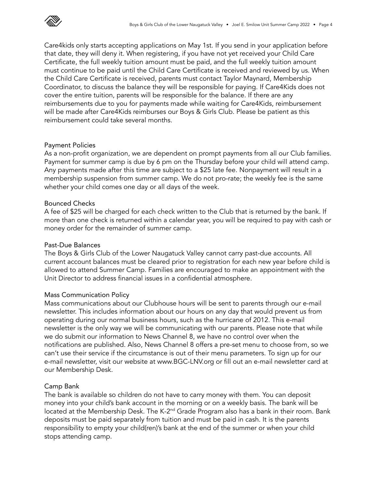

Care4kids only starts accepting applications on May 1st. If you send in your application before that date, they will deny it. When registering, if you have not yet received your Child Care Certificate, the full weekly tuition amount must be paid, and the full weekly tuition amount must continue to be paid until the Child Care Certificate is received and reviewed by us. When the Child Care Certificate is received, parents must contact Taylor Maynard, Membership Coordinator, to discuss the balance they will be responsible for paying. If Care4Kids does not cover the entire tuition, parents will be responsible for the balance. If there are any reimbursements due to you for payments made while waiting for Care4Kids, reimbursement will be made after Care4Kids reimburses our Boys & Girls Club. Please be patient as this reimbursement could take several months.

## Payment Policies

As a non-profit organization, we are dependent on prompt payments from all our Club families. Payment for summer camp is due by 6 pm on the Thursday before your child will attend camp. Any payments made after this time are subject to a \$25 late fee. Nonpayment will result in a membership suspension from summer camp. We do not pro-rate; the weekly fee is the same whether your child comes one day or all days of the week.

## Bounced Checks

A fee of \$25 will be charged for each check written to the Club that is returned by the bank. If more than one check is returned within a calendar year, you will be required to pay with cash or money order for the remainder of summer camp.

#### Past-Due Balances

The Boys & Girls Club of the Lower Naugatuck Valley cannot carry past-due accounts. All current account balances must be cleared prior to registration for each new year before child is allowed to attend Summer Camp. Families are encouraged to make an appointment with the Unit Director to address financial issues in a confidential atmosphere.

# Mass Communication Policy

Mass communications about our Clubhouse hours will be sent to parents through our e-mail newsletter. This includes information about our hours on any day that would prevent us from operating during our normal business hours, such as the hurricane of 2012. This e-mail newsletter is the only way we will be communicating with our parents. Please note that while we do submit our information to News Channel 8, we have no control over when the notifications are published. Also, News Channel 8 offers a pre-set menu to choose from, so we can't use their service if the circumstance is out of their menu parameters. To sign up for our e-mail newsletter, visit our website at www.BGC-LNV.org or fill out an e-mail newsletter card at our Membership Desk.

# Camp Bank

The bank is available so children do not have to carry money with them. You can deposit money into your child's bank account in the morning or on a weekly basis. The bank will be located at the Membership Desk. The K-2<sup>nd</sup> Grade Program also has a bank in their room. Bank deposits must be paid separately from tuition and must be paid in cash. It is the parents responsibility to empty your child(ren)'s bank at the end of the summer or when your child stops attending camp.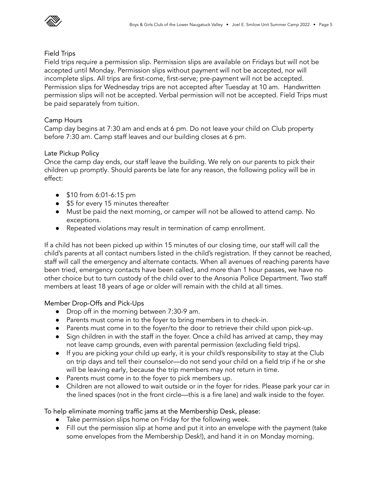

#### Field Trips

Field trips require a permission slip. Permission slips are available on Fridays but will not be accepted until Monday. Permission slips without payment will not be accepted, nor will incomplete slips. All trips are first-come, first-serve; pre-payment will not be accepted. Permission slips for Wednesday trips are not accepted after Tuesday at 10 am. Handwritten permission slips will not be accepted. Verbal permission will not be accepted. Field Trips must be paid separately from tuition.

# Camp Hours

Camp day begins at 7:30 am and ends at 6 pm. Do not leave your child on Club property before 7:30 am. Camp staff leaves and our building closes at 6 pm.

# Late Pickup Policy

Once the camp day ends, our staff leave the building. We rely on our parents to pick their children up promptly. Should parents be late for any reason, the following policy will be in effect:

- \$10 from 6:01-6:15 pm
- \$5 for every 15 minutes thereafter
- Must be paid the next morning, or camper will not be allowed to attend camp. No exceptions.
- Repeated violations may result in termination of camp enrollment.

If a child has not been picked up within 15 minutes of our closing time, our staff will call the child's parents at all contact numbers listed in the child's registration. If they cannot be reached, staff will call the emergency and alternate contacts. When all avenues of reaching parents have been tried, emergency contacts have been called, and more than 1 hour passes, we have no other choice but to turn custody of the child over to the Ansonia Police Department. Two staff members at least 18 years of age or older will remain with the child at all times.

Member Drop-Offs and Pick-Ups

- Drop off in the morning between 7:30-9 am.
- Parents must come in to the foyer to bring members in to check-in.
- Parents must come in to the foyer/to the door to retrieve their child upon pick-up.
- Sign children in with the staff in the foyer. Once a child has arrived at camp, they may not leave camp grounds, even with parental permission (excluding field trips).
- If you are picking your child up early, it is your child's responsibility to stay at the Club on trip days and tell their counselor—do not send your child on a field trip if he or she will be leaving early, because the trip members may not return in time.
- Parents must come in to the foyer to pick members up.
- Children are not allowed to wait outside or in the foyer for rides. Please park your car in the lined spaces (not in the front circle—this is a fire lane) and walk inside to the foyer.

To help eliminate morning traffic jams at the Membership Desk, please:

- Take permission slips home on Friday for the following week.
- Fill out the permission slip at home and put it into an envelope with the payment (take some envelopes from the Membership Desk!), and hand it in on Monday morning.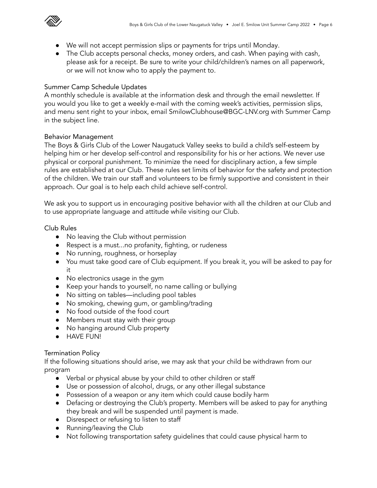

- We will not accept permission slips or payments for trips until Monday.
- The Club accepts personal checks, money orders, and cash. When paying with cash, please ask for a receipt. Be sure to write your child/children's names on all paperwork, or we will not know who to apply the payment to.

# Summer Camp Schedule Updates

A monthly schedule is available at the information desk and through the email newsletter. If you would you like to get a weekly e-mail with the coming week's activities, permission slips, and menu sent right to your inbox, email SmilowClubhouse@BGC-LNV.org with Summer Camp in the subject line.

# Behavior Management

The Boys & Girls Club of the Lower Naugatuck Valley seeks to build a child's self-esteem by helping him or her develop self-control and responsibility for his or her actions. We never use physical or corporal punishment. To minimize the need for disciplinary action, a few simple rules are established at our Club. These rules set limits of behavior for the safety and protection of the children. We train our staff and volunteers to be firmly supportive and consistent in their approach. Our goal is to help each child achieve self-control.

We ask you to support us in encouraging positive behavior with all the children at our Club and to use appropriate language and attitude while visiting our Club.

Club Rules

- No leaving the Club without permission
- Respect is a must...no profanity, fighting, or rudeness
- No running, roughness, or horseplay
- You must take good care of Club equipment. If you break it, you will be asked to pay for it
- No electronics usage in the gym
- Keep your hands to yourself, no name calling or bullying
- No sitting on tables—including pool tables
- No smoking, chewing gum, or gambling/trading
- No food outside of the food court
- Members must stay with their group
- No hanging around Club property
- HAVE FUN!

# Termination Policy

If the following situations should arise, we may ask that your child be withdrawn from our program

- Verbal or physical abuse by your child to other children or staff
- Use or possession of alcohol, drugs, or any other illegal substance
- Possession of a weapon or any item which could cause bodily harm
- Defacing or destroying the Club's property. Members will be asked to pay for anything they break and will be suspended until payment is made.
- Disrespect or refusing to listen to staff
- Running/leaving the Club
- Not following transportation safety guidelines that could cause physical harm to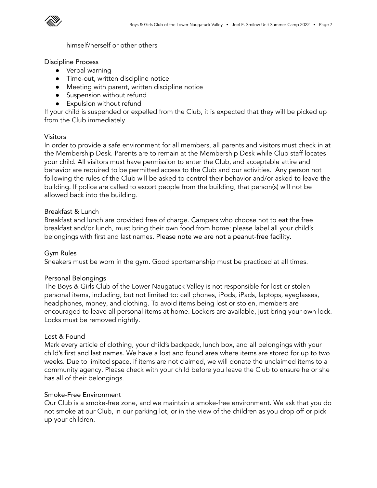

himself/herself or other others

Discipline Process

- Verbal warning
- Time-out, written discipline notice
- Meeting with parent, written discipline notice
- Suspension without refund
- Expulsion without refund

If your child is suspended or expelled from the Club, it is expected that they will be picked up from the Club immediately

# Visitors

In order to provide a safe environment for all members, all parents and visitors must check in at the Membership Desk. Parents are to remain at the Membership Desk while Club staff locates your child. All visitors must have permission to enter the Club, and acceptable attire and behavior are required to be permitted access to the Club and our activities. Any person not following the rules of the Club will be asked to control their behavior and/or asked to leave the building. If police are called to escort people from the building, that person(s) will not be allowed back into the building.

# Breakfast & Lunch

Breakfast and lunch are provided free of charge. Campers who choose not to eat the free breakfast and/or lunch, must bring their own food from home; please label all your child's belongings with first and last names. Please note we are not a peanut-free facility.

# Gym Rules

Sneakers must be worn in the gym. Good sportsmanship must be practiced at all times.

# Personal Belongings

The Boys & Girls Club of the Lower Naugatuck Valley is not responsible for lost or stolen personal items, including, but not limited to: cell phones, iPods, iPads, laptops, eyeglasses, headphones, money, and clothing. To avoid items being lost or stolen, members are encouraged to leave all personal items at home. Lockers are available, just bring your own lock. Locks must be removed nightly.

# Lost & Found

Mark every article of clothing, your child's backpack, lunch box, and all belongings with your child's first and last names. We have a lost and found area where items are stored for up to two weeks. Due to limited space, if items are not claimed, we will donate the unclaimed items to a community agency. Please check with your child before you leave the Club to ensure he or she has all of their belongings.

# Smoke-Free Environment

Our Club is a smoke-free zone, and we maintain a smoke-free environment. We ask that you do not smoke at our Club, in our parking lot, or in the view of the children as you drop off or pick up your children.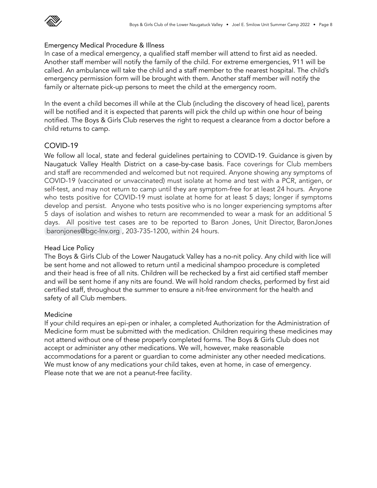

# Emergency Medical Procedure & Illness

In case of a medical emergency, a qualified staff member will attend to first aid as needed. Another staff member will notify the family of the child. For extreme emergencies, 911 will be called. An ambulance will take the child and a staff member to the nearest hospital. The child's emergency permission form will be brought with them. Another staff member will notify the family or alternate pick-up persons to meet the child at the emergency room.

In the event a child becomes ill while at the Club (including the discovery of head lice), parents will be notified and it is expected that parents will pick the child up within one hour of being notified. The Boys & Girls Club reserves the right to request a clearance from a doctor before a child returns to camp.

# COVID-19

We follow all local, state and federal guidelines pertaining to COVID-19. Guidance is given by Naugatuck Valley Health District on a case-by-case basis. Face coverings for Club members and staff are recommended and welcomed but not required. Anyone showing any symptoms of COVID-19 (vaccinated or unvaccinated) must isolate at home and test with a PCR, antigen, or self-test, and may not return to camp until they are symptom-free for at least 24 hours. Anyone who tests positive for COVID-19 must isolate at home for at least 5 days; longer if symptoms develop and persist. Anyone who tests positive who is no longer experiencing symptoms after 5 days of isolation and wishes to return are recommended to wear a mask for an additional 5 days. All positive test cases are to be reported to Baron Jones, Unit Director, BaronJones [baronjones@bgc-lnv.org](mailto:baronjones@bgc-lnv.org) , 203-735-1200, within 24 hours.

# Head Lice Policy

The Boys & Girls Club of the Lower Naugatuck Valley has a no-nit policy. Any child with lice will be sent home and not allowed to return until a medicinal shampoo procedure is completed and their head is free of all nits. Children will be rechecked by a first aid certified staff member and will be sent home if any nits are found. We will hold random checks, performed by first aid certified staff, throughout the summer to ensure a nit-free environment for the health and safety of all Club members.

# Medicine

If your child requires an epi-pen or inhaler, a completed Authorization for the Administration of Medicine form must be submitted with the medication. Children requiring these medicines may not attend without one of these properly completed forms. The Boys & Girls Club does not accept or administer any other medications. We will, however, make reasonable accommodations for a parent or guardian to come administer any other needed medications. We must know of any medications your child takes, even at home, in case of emergency. Please note that we are not a peanut-free facility.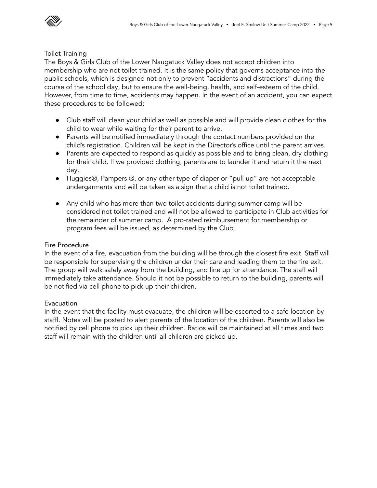

#### Toilet Training

The Boys & Girls Club of the Lower Naugatuck Valley does not accept children into membership who are not toilet trained. It is the same policy that governs acceptance into the public schools, which is designed not only to prevent "accidents and distractions" during the course of the school day, but to ensure the well-being, health, and self-esteem of the child. However, from time to time, accidents may happen. In the event of an accident, you can expect these procedures to be followed:

- Club staff will clean your child as well as possible and will provide clean clothes for the child to wear while waiting for their parent to arrive.
- Parents will be notified immediately through the contact numbers provided on the child's registration. Children will be kept in the Director's office until the parent arrives.
- Parents are expected to respond as quickly as possible and to bring clean, dry clothing for their child. If we provided clothing, parents are to launder it and return it the next day.
- Huggies®, Pampers ®, or any other type of diaper or "pull up" are not acceptable undergarments and will be taken as a sign that a child is not toilet trained.
- Any child who has more than two toilet accidents during summer camp will be considered not toilet trained and will not be allowed to participate in Club activities for the remainder of summer camp. A pro-rated reimbursement for membership or program fees will be issued, as determined by the Club.

# Fire Procedure

In the event of a fire, evacuation from the building will be through the closest fire exit. Staff will be responsible for supervising the children under their care and leading them to the fire exit. The group will walk safely away from the building, and line up for attendance. The staff will immediately take attendance. Should it not be possible to return to the building, parents will be notified via cell phone to pick up their children.

# Evacuation

In the event that the facility must evacuate, the children will be escorted to a safe location by staffl. Notes will be posted to alert parents of the location of the children. Parents will also be notified by cell phone to pick up their children. Ratios will be maintained at all times and two staff will remain with the children until all children are picked up.